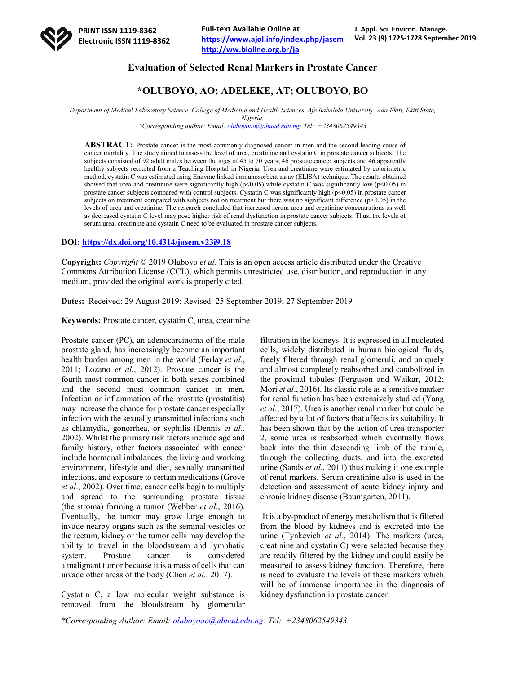

## **Evaluation of Selected Renal Markers in Prostate Cancer**

# **\*OLUBOYO, AO; ADELEKE, AT; OLUBOYO, BO**

*Department of Medical Laboratory Science, College of Medicine and Health Sciences, Afe Babalola University, Ado Ekiti, Ekiti State, Nigeria.*

*\*Corresponding author: Email: oluboyoao@abuad.edu.ng: Tel: +2348062549343*

ABSTRACT: Prostate cancer is the most commonly diagnosed cancer in men and the second leading cause of cancer mortality. The study aimed to assess the level of urea, creatinine and cystatin C in prostate cancer subjects. The subjects consisted of 92 adult males between the ages of 45 to 70 years; 46 prostate cancer subjects and 46 apparently healthy subjects recruited from a Teaching Hospital in Nigeria. Urea and creatinine were estimated by colorimetric method, cystatin C was estimated using Enzyme linked immunosorbent assay (ELISA) technique. The results obtained showed that urea and creatinine were significantly high (p<0.05) while cystatin C was significantly low (p<0.05) in prostate cancer subjects compared with control subjects. Cystatin C was significantly high (p<0.05) in prostate cancer subjects on treatment compared with subjects not on treatment but there was no significant difference ( $p$ >0.05) in the levels of urea and creatinine. The research concluded that increased serum urea and creatinine concentrations as well as decreased cystatin C level may pose higher risk of renal dysfunction in prostate cancer subjects. Thus, the levels of serum urea, creatinine and cystatin C need to be evaluated in prostate cancer subjects.

## **DOI: https://dx.doi.org/10.4314/jasem.v23i9.18**

**Copyright:** *Copyright* © 2019 Oluboyo *et al*. This is an open access article distributed under the Creative Commons Attribution License (CCL), which permits unrestricted use, distribution, and reproduction in any medium, provided the original work is properly cited.

**Dates:** Received: 29 August 2019; Revised: 25 September 2019; 27 September 2019

**Keywords:** Prostate cancer, cystatin C, urea, creatinine

Prostate cancer (PC), an adenocarcinoma of the male prostate gland, has increasingly become an important health burden among men in the world (Ferlay *et al*., 2011; Lozano *et al*., 2012). Prostate cancer is the fourth most common cancer in both sexes combined and the second most common cancer in men. Infection or inflammation of the prostate (prostatitis) may increase the chance for prostate cancer especially infection with the sexually transmitted infections such as chlamydia, gonorrhea, or syphilis (Dennis *et al.,* 2002). Whilst the primary risk factors include age and family history, other factors associated with cancer include hormonal imbalances, the living and working environment, lifestyle and diet, sexually transmitted infections, and exposure to certain medications (Grove *et al*., 2002). Over time, cancer cells begin to multiply and spread to the surrounding prostate tissue (the stroma) forming a tumor (Webber *et al.*, 2016). Eventually, the tumor may grow large enough to invade nearby organs such as the seminal vesicles or the rectum, kidney or the tumor cells may develop the ability to travel in the bloodstream and lymphatic system. Prostate cancer is considered a malignant tumor because it is a mass of cells that can invade other areas of the body (Chen *et al.,* 2017).

Cystatin C, a low molecular weight substance is removed from the bloodstream by glomerular

filtration in the kidneys. It is expressed in all nucleated cells, widely distributed in human biological fluids, freely filtered through renal glomeruli, and uniquely and almost completely reabsorbed and catabolized in the proximal tubules (Ferguson and Waikar, 2012; Mori *et al*., 2016). Its classic role as a sensitive marker for renal function has been extensively studied (Yang *et al*., 2017). Urea is another renal marker but could be affected by a lot of factors that affects its suitability. It has been shown that by the action of urea transporter 2, some urea is reabsorbed which eventually flows back into the thin descending limb of the tubule, through the collecting ducts, and into the excreted urine (Sands *et al.*, 2011) thus making it one example of renal markers. Serum creatinine also is used in the detection and assessment of acute kidney injury and chronic kidney disease (Baumgarten, 2011).

It is a by-product of energy metabolism that is filtered from the blood by kidneys and is excreted into the urine (Tynkevich *et al.*, 2014). The markers (urea, creatinine and cystatin C) were selected because they are readily filtered by the kidney and could easily be measured to assess kidney function. Therefore, there is need to evaluate the levels of these markers which will be of immense importance in the diagnosis of kidney dysfunction in prostate cancer.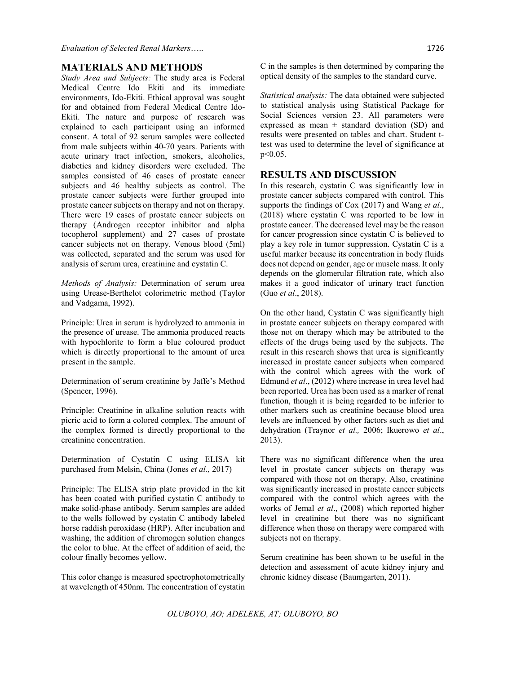## **MATERIALS AND METHODS**

*Study Area and Subjects:* The study area is Federal Medical Centre Ido Ekiti and its immediate environments, Ido-Ekiti. Ethical approval was sought for and obtained from Federal Medical Centre Ido-Ekiti. The nature and purpose of research was explained to each participant using an informed consent. A total of 92 serum samples were collected from male subjects within 40-70 years. Patients with acute urinary tract infection, smokers, alcoholics, diabetics and kidney disorders were excluded. The samples consisted of 46 cases of prostate cancer subjects and 46 healthy subjects as control. The prostate cancer subjects were further grouped into prostate cancer subjects on therapy and not on therapy. There were 19 cases of prostate cancer subjects on therapy (Androgen receptor inhibitor and alpha tocopherol supplement) and 27 cases of prostate cancer subjects not on therapy. Venous blood (5ml) was collected, separated and the serum was used for analysis of serum urea, creatinine and cystatin C.

*Methods of Analysis:* Determination of serum urea using Urease-Berthelot colorimetric method (Taylor and Vadgama, 1992).

Principle: Urea in serum is hydrolyzed to ammonia in the presence of urease. The ammonia produced reacts with hypochlorite to form a blue coloured product which is directly proportional to the amount of urea present in the sample.

Determination of serum creatinine by Jaffe's Method (Spencer, 1996).

Principle: Creatinine in alkaline solution reacts with picric acid to form a colored complex. The amount of the complex formed is directly proportional to the creatinine concentration.

Determination of Cystatin C using ELISA kit purchased from Melsin, China (Jones *et al.,* 2017)

Principle: The ELISA strip plate provided in the kit has been coated with purified cystatin C antibody to make solid-phase antibody. Serum samples are added to the wells followed by cystatin C antibody labeled horse raddish peroxidase (HRP). After incubation and washing, the addition of chromogen solution changes the color to blue. At the effect of addition of acid, the colour finally becomes yellow.

This color change is measured spectrophotometrically at wavelength of 450nm. The concentration of cystatin C in the samples is then determined by comparing the optical density of the samples to the standard curve.

*Statistical analysis:* The data obtained were subjected to statistical analysis using Statistical Package for Social Sciences version 23. All parameters were expressed as mean  $\pm$  standard deviation (SD) and results were presented on tables and chart. Student ttest was used to determine the level of significance at p<0.05.

## **RESULTS AND DISCUSSION**

In this research, cystatin C was significantly low in prostate cancer subjects compared with control. This supports the findings of Cox (2017) and Wang *et al*., (2018) where cystatin C was reported to be low in prostate cancer. The decreased level may be the reason for cancer progression since cystatin C is believed to play a key role in tumor suppression. Cystatin C is a useful marker because its concentration in body fluids does not depend on gender, age or muscle mass. It only depends on the glomerular filtration rate, which also makes it a good indicator of urinary tract function (Guo *et al*., 2018).

On the other hand, Cystatin C was significantly high in prostate cancer subjects on therapy compared with those not on therapy which may be attributed to the effects of the drugs being used by the subjects. The result in this research shows that urea is significantly increased in prostate cancer subjects when compared with the control which agrees with the work of Edmund *et al*., (2012) where increase in urea level had been reported. Urea has been used as a marker of renal function, though it is being regarded to be inferior to other markers such as creatinine because blood urea levels are influenced by other factors such as diet and dehydration (Traynor *et al.,* 2006; Ikuerowo *et al*., 2013).

There was no significant difference when the urea level in prostate cancer subjects on therapy was compared with those not on therapy. Also, creatinine was significantly increased in prostate cancer subjects compared with the control which agrees with the works of Jemal *et al*., (2008) which reported higher level in creatinine but there was no significant difference when those on therapy were compared with subjects not on therapy.

Serum creatinine has been shown to be useful in the detection and assessment of acute kidney injury and chronic kidney disease (Baumgarten, 2011).

*OLUBOYO, AO; ADELEKE, AT; OLUBOYO, BO*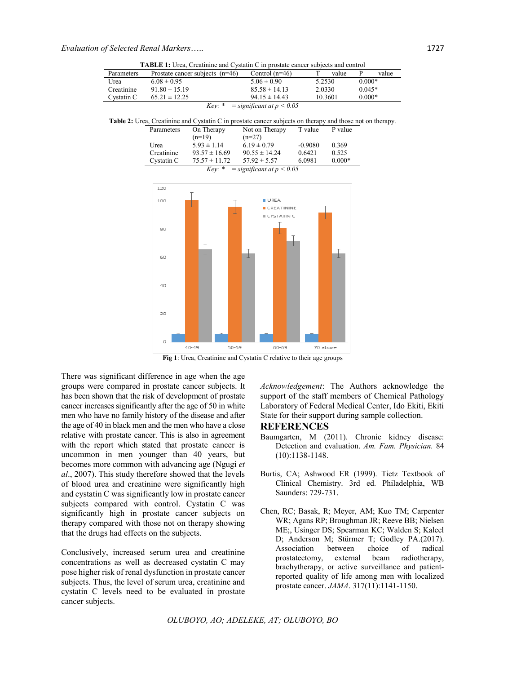| <b>TABLE 1:</b> Urea, Creatinine and Cystatin C in prostate cancer subjects and control                   |                                   |          |                   |                               |           |          |                         |
|-----------------------------------------------------------------------------------------------------------|-----------------------------------|----------|-------------------|-------------------------------|-----------|----------|-------------------------|
| Parameters                                                                                                | Prostate cancer subjects $(n=46)$ |          |                   | Control $(n=46)$              | T         | value    | $\overline{P}$<br>value |
| Urea                                                                                                      | $6.08 \pm 0.95$                   |          |                   | $5.06 \pm 0.90$               | 5.2530    |          | $0.000*$                |
| Creatinine                                                                                                | $91.80 \pm 15.19$                 |          |                   | $85.58 \pm 14.13$             | 2.0330    |          | $0.045*$                |
| Cystatin C                                                                                                | $65.21 \pm 12.25$                 |          |                   | $94.15 \pm 14.43$             |           | 10.3601  | $0.000*$                |
|                                                                                                           |                                   |          | $Kev: *$          | $=$ significant at $p < 0.05$ |           |          |                         |
|                                                                                                           |                                   |          |                   |                               |           |          |                         |
| Table 2: Urea, Creatinine and Cystatin C in prostate cancer subjects on therapy and those not on therapy. |                                   |          |                   |                               |           |          |                         |
|                                                                                                           | Parameters                        |          | On Therapy        | Not on Therapy                | T value   | P value  |                         |
|                                                                                                           |                                   | $(n=19)$ |                   | $(n=27)$                      |           |          |                         |
|                                                                                                           | Urea                              |          | $5.93 \pm 1.14$   | $6.19 \pm 0.79$               | $-0.9080$ | 0.369    |                         |
|                                                                                                           | Creatinine                        |          | $93.57 \pm 16.69$ | $90.55 \pm 14.24$             | 0.6421    | 0.525    |                         |
|                                                                                                           | Cystatin C                        |          | $75.57 \pm 11.72$ | $57.92 \pm 5.57$              | 6.0981    | $0.000*$ |                         |
| $=$ significant at $p < 0.05$<br>$Kev: *$                                                                 |                                   |          |                   |                               |           |          |                         |
|                                                                                                           |                                   |          |                   |                               |           |          |                         |
|                                                                                                           | 120                               |          |                   |                               |           |          |                         |
|                                                                                                           | 100                               |          |                   | UREA                          |           |          |                         |
|                                                                                                           |                                   |          |                   | CREATININE                    |           |          |                         |
|                                                                                                           |                                   |          |                   | CYSTATIN C                    |           |          |                         |
|                                                                                                           |                                   |          |                   |                               |           |          |                         |
|                                                                                                           | 80                                |          |                   |                               |           |          |                         |
|                                                                                                           |                                   |          |                   |                               |           |          |                         |
|                                                                                                           |                                   |          |                   |                               |           |          |                         |
|                                                                                                           | 60                                |          |                   |                               |           |          |                         |
|                                                                                                           |                                   |          |                   |                               |           |          |                         |
|                                                                                                           |                                   |          |                   |                               |           |          |                         |
|                                                                                                           |                                   |          |                   |                               |           |          |                         |
|                                                                                                           | 40                                |          |                   |                               |           |          |                         |
|                                                                                                           |                                   |          |                   |                               |           |          |                         |
|                                                                                                           |                                   |          |                   |                               |           |          |                         |
|                                                                                                           | 20                                |          |                   |                               |           |          |                         |
|                                                                                                           |                                   |          |                   |                               |           |          |                         |
|                                                                                                           |                                   |          |                   |                               |           |          |                         |
|                                                                                                           |                                   |          |                   |                               |           |          |                         |
|                                                                                                           | 0                                 | 40-49    | 50-59             | 60-69                         | 70 above  |          |                         |

**Fig 1**: Urea, Creatinine and Cystatin C relative to their age groups

There was significant difference in age when the age groups were compared in prostate cancer subjects. It has been shown that the risk of development of prostate cancer increases significantly after the age of 50 in white men who have no family history of the disease and after the age of 40 in black men and the men who have a close relative with prostate cancer. This is also in agreement with the report which stated that prostate cancer is uncommon in men younger than 40 years, but becomes more common with advancing age (Ngugi *et al*., 2007). This study therefore showed that the levels of blood urea and creatinine were significantly high and cystatin C was significantly low in prostate cancer subjects compared with control. Cystatin C was significantly high in prostate cancer subjects on therapy compared with those not on therapy showing that the drugs had effects on the subjects.

Conclusively, increased serum urea and creatinine concentrations as well as decreased cystatin C may pose higher risk of renal dysfunction in prostate cancer subjects. Thus, the level of serum urea, creatinine and cystatin C levels need to be evaluated in prostate cancer subjects.

*Acknowledgement*: The Authors acknowledge the support of the staff members of Chemical Pathology Laboratory of Federal Medical Center, Ido Ekiti, Ekiti State for their support during sample collection.

## **REFERENCES**

- Baumgarten, M (2011). Chronic kidney disease: Detection and evaluation. *Am. Fam. Physician.* 84 (10):1138-1148.
- Burtis, CA; Ashwood ER (1999). Tietz Textbook of Clinical Chemistry. 3rd ed. Philadelphia, WB Saunders: 729-731.
- Chen, RC; Basak, R; Meyer, AM; Kuo TM; Carpenter WR; Agans RP; Broughman JR; Reeve BB; Nielsen ME;, Usinger DS; Spearman KC; Walden S; Kaleel D; Anderson M; Stürmer T; Godley PA.(2017).<br>Association between choice of radical Association between choice of radical prostatectomy, external beam radiotherapy, brachytherapy, or active surveillance and patientreported quality of life among men with localized prostate cancer. *JAMA*. 317(11):1141-1150.

*OLUBOYO, AO; ADELEKE, AT; OLUBOYO, BO*